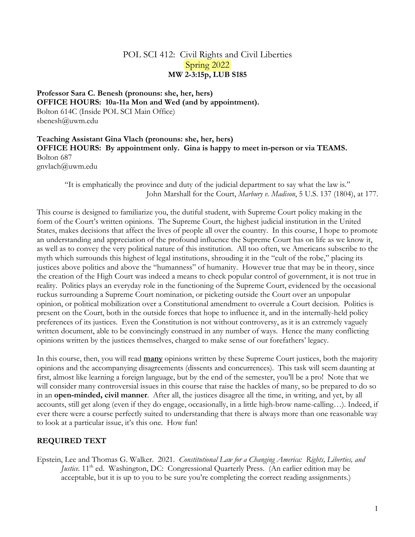# POL SCI 412: Civil Rights and Civil Liberties Spring 2022 **MW 2-3:15p, LUB S185**

**Professor Sara C. Benesh (pronouns: she, her, hers) OFFICE HOURS: 10a-11a Mon and Wed (and by appointment).** Bolton 614C (Inside POL SCI Main Office) sbenesh@uwm.edu

**Teaching Assistant Gina Vlach (pronouns: she, her, hers) OFFICE HOURS: By appointment only. Gina is happy to meet in-person or via TEAMS.** Bolton 687 gnvlach@uwm.edu

"It is emphatically the province and duty of the judicial department to say what the law is." John Marshall for the Court, *Marbury v. Madison*, 5 U.S. 137 (1804), at 177.

This course is designed to familiarize you, the dutiful student, with Supreme Court policy making in the form of the Court's written opinions. The Supreme Court, the highest judicial institution in the United States, makes decisions that affect the lives of people all over the country. In this course, I hope to promote an understanding and appreciation of the profound influence the Supreme Court has on life as we know it, as well as to convey the very political nature of this institution. All too often, we Americans subscribe to the myth which surrounds this highest of legal institutions, shrouding it in the "cult of the robe," placing its justices above politics and above the "humanness" of humanity. However true that may be in theory, since the creation of the High Court was indeed a means to check popular control of government, it is not true in reality. Politics plays an everyday role in the functioning of the Supreme Court, evidenced by the occasional ruckus surrounding a Supreme Court nomination, or picketing outside the Court over an unpopular opinion, or political mobilization over a Constitutional amendment to overrule a Court decision. Politics is present on the Court, both in the outside forces that hope to influence it, and in the internally-held policy preferences of its justices. Even the Constitution is not without controversy, as it is an extremely vaguely written document, able to be convincingly construed in any number of ways. Hence the many conflicting opinions written by the justices themselves, charged to make sense of our forefathers' legacy.

In this course, then, you will read **many** opinions written by these Supreme Court justices, both the majority opinions and the accompanying disagreements (dissents and concurrences). This task will seem daunting at first, almost like learning a foreign language, but by the end of the semester, you'll be a pro! Note that we will consider many controversial issues in this course that raise the hackles of many, so be prepared to do so in an **open-minded, civil manner**. After all, the justices disagree all the time, in writing, and yet, by all accounts, still get along (even if they do engage, occasionally, in a little high-brow name-calling…). Indeed, if ever there were a course perfectly suited to understanding that there is always more than one reasonable way to look at a particular issue, it's this one. How fun!

## **REQUIRED TEXT**

Epstein, Lee and Thomas G. Walker. 2021. *Constitutional Law for a Changing America: Rights, Liberties, and Justice.* 11<sup>th</sup> ed. Washington, DC: Congressional Quarterly Press. (An earlier edition may be acceptable, but it is up to you to be sure you're completing the correct reading assignments.)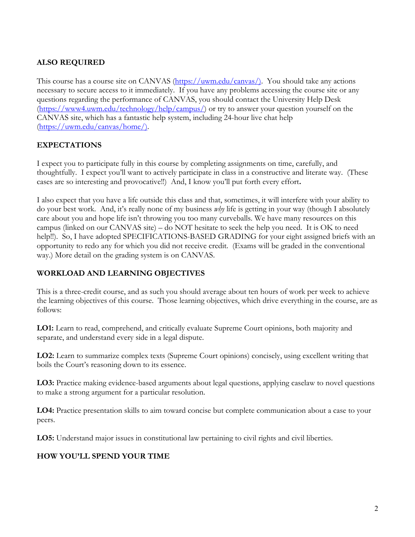# **ALSO REQUIRED**

This course has a course site on CANVAS (https://uwm.edu/canvas/). You should take any actions necessary to secure access to it immediately. If you have any problems accessing the course site or any questions regarding the performance of CANVAS, you should contact the University Help Desk (https://www4.uwm.edu/technology/help/campus/) or try to answer your question yourself on the CANVAS site, which has a fantastic help system, including 24-hour live chat help (https://uwm.edu/canvas/home/).

# **EXPECTATIONS**

I expect you to participate fully in this course by completing assignments on time, carefully, and thoughtfully. I expect you'll want to actively participate in class in a constructive and literate way. (These cases are so interesting and provocative!!) And, I know you'll put forth every effort**.** 

I also expect that you have a life outside this class and that, sometimes, it will interfere with your ability to do your best work.And, it's really none of my business *why* life is getting in your way (though I absolutely care about you and hope life isn't throwing you too many curveballs. We have many resources on this campus (linked on our CANVAS site) – do NOT hesitate to seek the help you need. It is OK to need help!!). So, I have adopted SPECIFICATIONS-BASED GRADING for your eight assigned briefs with an opportunity to redo any for which you did not receive credit. (Exams will be graded in the conventional way.) More detail on the grading system is on CANVAS.

# **WORKLOAD AND LEARNING OBJECTIVES**

This is a three-credit course, and as such you should average about ten hours of work per week to achieve the learning objectives of this course. Those learning objectives, which drive everything in the course, are as follows:

**LO1:** Learn to read, comprehend, and critically evaluate Supreme Court opinions, both majority and separate, and understand every side in a legal dispute.

**LO2:** Learn to summarize complex texts (Supreme Court opinions) concisely, using excellent writing that boils the Court's reasoning down to its essence.

**LO3:** Practice making evidence-based arguments about legal questions, applying caselaw to novel questions to make a strong argument for a particular resolution.

**LO4:** Practice presentation skills to aim toward concise but complete communication about a case to your peers.

**LO5:** Understand major issues in constitutional law pertaining to civil rights and civil liberties.

# **HOW YOU'LL SPEND YOUR TIME**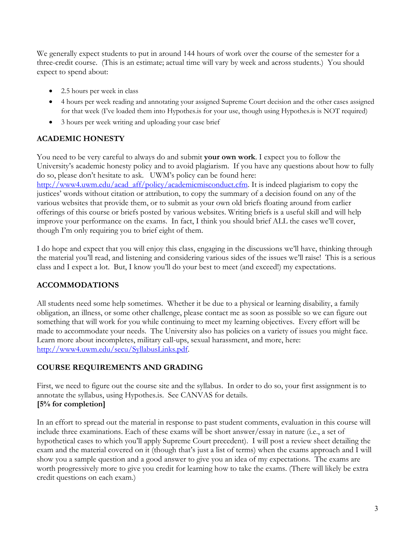We generally expect students to put in around 144 hours of work over the course of the semester for a three-credit course. (This is an estimate; actual time will vary by week and across students.) You should expect to spend about:

- 2.5 hours per week in class
- 4 hours per week reading and annotating your assigned Supreme Court decision and the other cases assigned for that week (I've loaded them into Hypothes.is for your use, though using Hypothes.is is NOT required)
- 3 hours per week writing and uploading your case brief

# **ACADEMIC HONESTY**

You need to be very careful to always do and submit **your own work**. I expect you to follow the University's academic honesty policy and to avoid plagiarism. If you have any questions about how to fully do so, please don't hesitate to ask. UWM's policy can be found here:

http://www4.uwm.edu/acad\_aff/policy/academicmisconduct.cfm. It is indeed plagiarism to copy the justices' words without citation or attribution, to copy the summary of a decision found on any of the various websites that provide them, or to submit as your own old briefs floating around from earlier offerings of this course or briefs posted by various websites. Writing briefs is a useful skill and will help improve your performance on the exams. In fact, I think you should brief ALL the cases we'll cover, though I'm only requiring you to brief eight of them.

I do hope and expect that you will enjoy this class, engaging in the discussions we'll have, thinking through the material you'll read, and listening and considering various sides of the issues we'll raise! This is a serious class and I expect a lot. But, I know you'll do your best to meet (and exceed!) my expectations.

# **ACCOMMODATIONS**

All students need some help sometimes. Whether it be due to a physical or learning disability, a family obligation, an illness, or some other challenge, please contact me as soon as possible so we can figure out something that will work for you while continuing to meet my learning objectives. Every effort will be made to accommodate your needs. The University also has policies on a variety of issues you might face. Learn more about incompletes, military call-ups, sexual harassment, and more, here: http://www4.uwm.edu/secu/SyllabusLinks.pdf.

# **COURSE REQUIREMENTS AND GRADING**

First, we need to figure out the course site and the syllabus. In order to do so, your first assignment is to annotate the syllabus, using Hypothes.is. See CANVAS for details. **[5% for completion]**

In an effort to spread out the material in response to past student comments, evaluation in this course will include three examinations. Each of these exams will be short answer/essay in nature (i.e., a set of hypothetical cases to which you'll apply Supreme Court precedent). I will post a review sheet detailing the exam and the material covered on it (though that's just a list of terms) when the exams approach and I will show you a sample question and a good answer to give you an idea of my expectations. The exams are worth progressively more to give you credit for learning how to take the exams. (There will likely be extra credit questions on each exam.)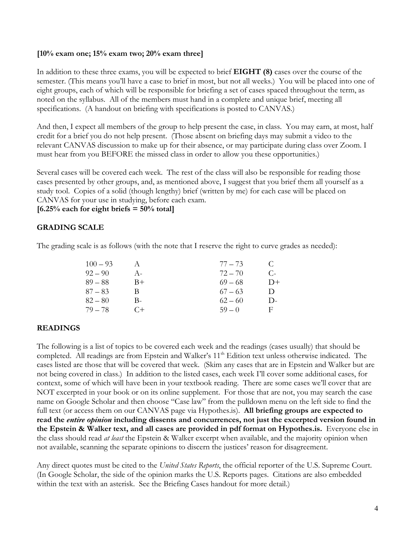### **[10% exam one; 15% exam two; 20% exam three]**

In addition to these three exams, you will be expected to brief **EIGHT (8)** cases over the course of the semester. (This means you'll have a case to brief in most, but not all weeks.) You will be placed into one of eight groups, each of which will be responsible for briefing a set of cases spaced throughout the term, as noted on the syllabus. All of the members must hand in a complete and unique brief, meeting all specifications. (A handout on briefing with specifications is posted to CANVAS.)

And then, I expect all members of the group to help present the case, in class. You may earn, at most, half credit for a brief you do not help present. (Those absent on briefing days may submit a video to the relevant CANVAS discussion to make up for their absence, or may participate during class over Zoom. I must hear from you BEFORE the missed class in order to allow you these opportunities.)

Several cases will be covered each week. The rest of the class will also be responsible for reading those cases presented by other groups, and, as mentioned above, I suggest that you brief them all yourself as a study tool. Copies of a solid (though lengthy) brief (written by me) for each case will be placed on CANVAS for your use in studying, before each exam.

**[6.25% each for eight briefs = 50% total]**

## **GRADING SCALE**

The grading scale is as follows (with the note that I reserve the right to curve grades as needed):

| $100 - 93$ |       | $77 - 73$ | $\mathbf C$  |
|------------|-------|-----------|--------------|
| $92 - 90$  | $A -$ | $72 - 70$ | C-           |
| $89 - 88$  | $B+$  | $69 - 68$ | $D+$         |
| $87 - 83$  | B     | $67 - 63$ | $\mathsf{D}$ |
| $82 - 80$  | В-    | $62 - 60$ | $\mathsf{D}$ |
| $79 - 78$  | $C+$  | $59 - 0$  | E            |

## **READINGS**

The following is a list of topics to be covered each week and the readings (cases usually) that should be completed. All readings are from Epstein and Walker's 11<sup>th</sup> Edition text unless otherwise indicated. The cases listed are those that will be covered that week. (Skim any cases that are in Epstein and Walker but are not being covered in class.) In addition to the listed cases, each week I'll cover some additional cases, for context, some of which will have been in your textbook reading. There are some cases we'll cover that are NOT excerpted in your book or on its online supplement. For those that are not, you may search the case name on Google Scholar and then choose "Case law" from the pulldown menu on the left side to find the full text (or access them on our CANVAS page via Hypothes.is). **All briefing groups are expected to read the** *entire opinion* **including dissents and concurrences, not just the excerpted version found in the Epstein & Walker text, and all cases are provided in pdf format on Hypothes.is.** Everyone else in the class should read *at least* the Epstein & Walker excerpt when available, and the majority opinion when not available, scanning the separate opinions to discern the justices' reason for disagreement.

Any direct quotes must be cited to the *United States Reports*, the official reporter of the U.S. Supreme Court. (In Google Scholar, the side of the opinion marks the U.S. Reports pages. Citations are also embedded within the text with an asterisk. See the Briefing Cases handout for more detail.)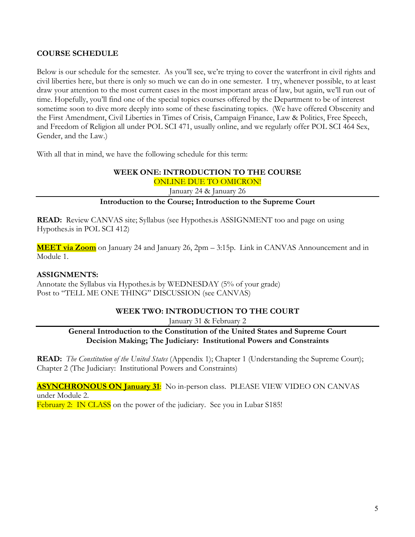## **COURSE SCHEDULE**

Below is our schedule for the semester. As you'll see, we're trying to cover the waterfront in civil rights and civil liberties here, but there is only so much we can do in one semester. I try, whenever possible, to at least draw your attention to the most current cases in the most important areas of law, but again, we'll run out of time. Hopefully, you'll find one of the special topics courses offered by the Department to be of interest sometime soon to dive more deeply into some of these fascinating topics. (We have offered Obscenity and the First Amendment, Civil Liberties in Times of Crisis, Campaign Finance, Law & Politics, Free Speech, and Freedom of Religion all under POL SCI 471, usually online, and we regularly offer POL SCI 464 Sex, Gender, and the Law.)

With all that in mind, we have the following schedule for this term:

# **WEEK ONE: INTRODUCTION TO THE COURSE**

ONLINE DUE TO OMICRON!

January 24 & January 26

# **Introduction to the Course; Introduction to the Supreme Court**

**READ:** Review CANVAS site; Syllabus (see Hypothes.is ASSIGNMENT too and page on using Hypothes.is in POL SCI 412)

**MEET via Zoom** on January 24 and January 26, 2pm – 3:15p. Link in CANVAS Announcement and in Module 1.

## **ASSIGNMENTS:**

Annotate the Syllabus via Hypothes.is by WEDNESDAY (5% of your grade) Post to "TELL ME ONE THING" DISCUSSION (see CANVAS)

# **WEEK TWO: INTRODUCTION TO THE COURT**

January 31 & February 2

**General Introduction to the Constitution of the United States and Supreme Court Decision Making; The Judiciary: Institutional Powers and Constraints**

**READ:** *The Constitution of the United States* (Appendix 1); Chapter 1 (Understanding the Supreme Court); Chapter 2 (The Judiciary: Institutional Powers and Constraints)

**ASYNCHRONOUS ON January 31:** No in-person class. PLEASE VIEW VIDEO ON CANVAS under Module 2.

February 2: IN CLASS on the power of the judiciary. See you in Lubar S185!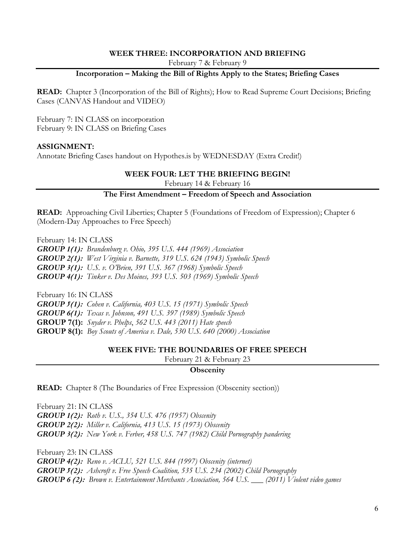### **WEEK THREE: INCORPORATION AND BRIEFING**

February 7 & February 9

## **Incorporation – Making the Bill of Rights Apply to the States; Briefing Cases**

**READ:** Chapter 3 (Incorporation of the Bill of Rights); How to Read Supreme Court Decisions; Briefing Cases (CANVAS Handout and VIDEO)

February 7: IN CLASS on incorporation February 9: IN CLASS on Briefing Cases

### **ASSIGNMENT:**

Annotate Briefing Cases handout on Hypothes.is by WEDNESDAY (Extra Credit!)

### **WEEK FOUR: LET THE BRIEFING BEGIN!**

February 14 & February 16

# **The First Amendment – Freedom of Speech and Association**

**READ:** Approaching Civil Liberties; Chapter 5 (Foundations of Freedom of Expression); Chapter 6 (Modern-Day Approaches to Free Speech)

February 14: IN CLASS

*GROUP 1(1): Brandenburg v. Ohio, 395 U.S. 444 (1969) Association GROUP 2(1): West Virginia v. Barnette, 319 U.S. 624 (1943) Symbolic Speech GROUP 3(1): U.S. v. O'Brien, 391 U.S. 367 (1968) Symbolic Speech GROUP 4(1): Tinker v. Des Moines, 393 U.S. 503 (1969) Symbolic Speech*

February 16: IN CLASS *GROUP 5(1): Cohen v. California, 403 U.S. 15 (1971) Symbolic Speech GROUP 6(1): Texas v. Johnson, 491 U.S. 397 (1989) Symbolic Speech* **GROUP 7(1):** *Snyder v. Phelps*, *562 U.S. 443 (2011) Hate speech* **GROUP 8(1):** *Boy Scouts of America v. Dale, 530 U.S. 640 (2000) Association*

#### **WEEK FIVE: THE BOUNDARIES OF FREE SPEECH**

February 21 & February 23

### **Obscenity**

**READ:** Chapter 8 (The Boundaries of Free Expression (Obscenity section))

February 21: IN CLASS *GROUP 1(2): Roth v. U.S., 354 U.S. 476 (1957) Obscenity GROUP 2(2): Miller v. California, 413 U.S. 15 (1973) Obscenity GROUP 3(2): New York v. Ferber, 458 U.S. 747 (1982) Child Pornography pandering*

February 23: IN CLASS

*GROUP 4(2): Reno v. ACLU, 521 U.S. 844 (1997) Obscenity (internet) GROUP 5(2): Ashcroft v. Free Speech Coalition, 535 U.S. 234 (2002) Child Pornography GROUP 6 (2): Brown v. Entertainment Merchants Association, 564 U.S. \_\_\_ (2011) Violent video games*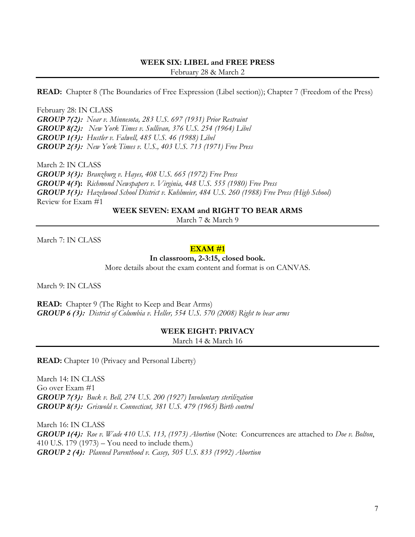### **WEEK SIX: LIBEL and FREE PRESS** February 28 & March 2

**READ:** Chapter 8 (The Boundaries of Free Expression (Libel section)); Chapter 7 (Freedom of the Press)

February 28: IN CLASS *GROUP 7(2): Near v. Minnesota, 283 U.S. 697 (1931) Prior Restraint GROUP 8(2): New York Times v. Sullivan, 376 U.S. 254 (1964) Libel GROUP 1(3): Hustler v. Falwell, 485 U.S. 46 (1988) Libel GROUP 2(3): New York Times v. U.S., 403 U.S. 713 (1971) Free Press*

March 2: IN CLASS *GROUP 3(3): Branzburg v. Hayes, 408 U.S. 665 (1972) Free Press GROUP 4(3***):** *Richmond Newspapers v. Virginia, 448 U.S. 555 (1980) Free Press GROUP 5(3): Hazelwood School District v. Kuhlmeier, 484 U.S. 260 (1988) Free Press (High School)* Review for Exam #1

**WEEK SEVEN: EXAM and RIGHT TO BEAR ARMS**

March 7 & March 9

March 7: IN CLASS

### **EXAM #1**

**In classroom, 2-3:15, closed book.**

More details about the exam content and format is on CANVAS.

March 9: IN CLASS

**READ:** Chapter 9 (The Right to Keep and Bear Arms) *GROUP 6 (3): District of Columbia v. Heller, 554 U.S. 570 (2008) Right to bear arms* 

**WEEK EIGHT: PRIVACY**

March 14 & March 16

**READ:** Chapter 10 (Privacy and Personal Liberty)

March 14: IN CLASS Go over Exam #1 *GROUP 7(3): Buck v. Bell, 274 U.S. 200 (1927) Involuntary sterilization GROUP 8(3): Griswold v. Connecticut, 381 U.S. 479 (1965) Birth control*

March 16: IN CLASS *GROUP 1(4): Roe v. Wade 410 U.S. 113, (1973) Abortion* (Note: Concurrences are attached to *Doe v. Bolton*, 410 U.S. 179 (1973) – You need to include them.) *GROUP 2 (4): Planned Parenthood v. Casey, 505 U.S. 833 (1992) Abortion*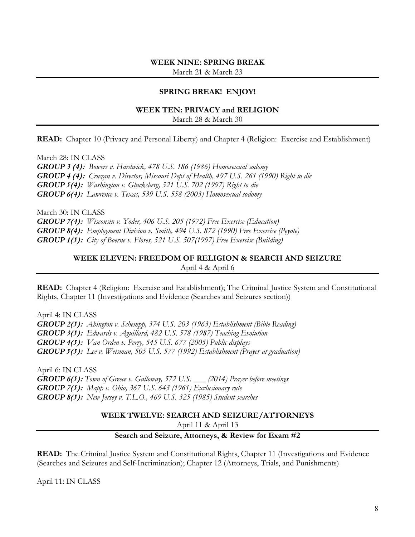### **WEEK NINE: SPRING BREAK** March 21 & March 23

## **SPRING BREAK! ENJOY!**

#### **WEEK TEN: PRIVACY and RELIGION** March 28 & March 30

**READ:** Chapter 10 (Privacy and Personal Liberty) and Chapter 4 (Religion: Exercise and Establishment)

March 28: IN CLASS *GROUP 3 (4): Bowers v. Hardwick, 478 U.S. 186 (1986) Homosexual sodomy GROUP 4 (4): Cruzan v. Director, Missouri Dept of Health, 497 U.S. 261 (1990) Right to die GROUP 5(4): Washington v. Glucksberg, 521 U.S. 702 (1997) Right to die GROUP 6(4): Lawrence v. Texas, 539 U.S. 558 (2003) Homosexual sodomy*

March 30: IN CLASS *GROUP 7(4): Wisconsin v. Yoder, 406 U.S. 205 (1972) Free Exercise (Education) GROUP 8(4): Employment Division v. Smith, 494 U.S. 872 (1990) Free Exercise (Peyote) GROUP 1(5): City of Boerne v. Flores, 521 U.S. 507(1997) Free Exercise (Building)*

## **WEEK ELEVEN: FREEDOM OF RELIGION & SEARCH AND SEIZURE**

April 4 & April 6

**READ:** Chapter 4 (Religion: Exercise and Establishment); The Criminal Justice System and Constitutional Rights, Chapter 11 (Investigations and Evidence (Searches and Seizures section))

April 4: IN CLASS *GROUP 2(5): Abington v. Schempp, 374 U.S. 203 (1963) Establishment (Bible Reading) GROUP 3(5): Edwards v. Aguillard, 482 U.S. 578 (1987) Teaching Evolution GROUP 4(5): Van Orden v. Perry, 545 U.S. 677 (2005) Public displays GROUP 5(5): Lee v. Weisman, 505 U.S. 577 (1992) Establishment (Prayer at graduation)*

April 6: IN CLASS *GROUP 6(5): Town of Greece v. Galloway, 572 U.S. \_\_\_ (2014) Prayer before meetings GROUP 7(5): Mapp v. Ohio, 367 U.S. 643 (1961) Exclusionary rule GROUP 8(5): New Jersey v. T.L.O., 469 U.S. 325 (1985) Student searches*

## **WEEK TWELVE: SEARCH AND SEIZURE/ATTORNEYS**

April 11 & April 13

### **Search and Seizure, Attorneys, & Review for Exam #2**

**READ:** The Criminal Justice System and Constitutional Rights, Chapter 11 (Investigations and Evidence (Searches and Seizures and Self-Incrimination); Chapter 12 (Attorneys, Trials, and Punishments)

April 11: IN CLASS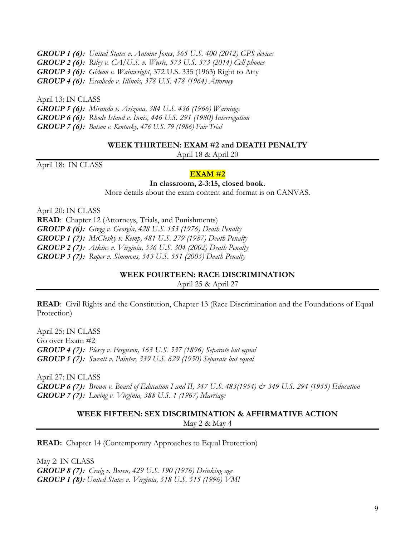*GROUP 1 (6): United States v. Antoine Jones*, *565 U.S. 400 (2012) GPS devices GROUP 2 (6): Riley v. CA/U.S. v. Wurie, 573 U.S. 373 (2014) Cell phones GROUP 3 (6): Gideon v. Wainwright*, 372 U.S. 335 (1963) Right to Atty *GROUP 4 (6): Escobedo v. Illinois, 378 U.S. 478 (1964) Attorney*

April 13: IN CLASS *GROUP 5 (6): Miranda v. Arizona, 384 U.S. 436 (1966) Warnings GROUP 6 (6): Rhode Island v. Innis, 446 U.S. 291 (1980) Interrogation GROUP 7 (6): Batson v. Kentucky, 476 U.S. 79 (1986) Fair Trial*

### **WEEK THIRTEEN: EXAM #2 and DEATH PENALTY**

April 18 & April 20

April 18: IN CLASS

### **EXAM #2**

### **In classroom, 2-3:15, closed book.**

More details about the exam content and format is on CANVAS.

April 20: IN CLASS **READ**: Chapter 12 (Attorneys, Trials, and Punishments) *GROUP 8 (6): Gregg v. Georgia, 428 U.S. 153 (1976) Death Penalty GROUP 1 (7): McClesky v. Kemp, 481 U.S. 279 (1987) Death Penalty GROUP 2 (7): Atkins v. Virginia, 536 U.S. 304 (2002) Death Penalty GROUP 3 (7): Roper v. Simmons, 543 U.S. 551 (2005) Death Penalty*

### **WEEK FOURTEEN: RACE DISCRIMINATION**

April 25 & April 27

**READ**: Civil Rights and the Constitution, Chapter 13 (Race Discrimination and the Foundations of Equal Protection)

April 25: IN CLASS Go over Exam #2 *GROUP 4 (7): Plessy v. Ferguson, 163 U.S. 537 (1896) Separate but equal GROUP 5 (7): Sweatt v. Painter, 339 U.S. 629 (1950) Separate but equal*

April 27: IN CLASS *GROUP 6 (7): Brown v. Board of Education I and II, 347 U.S. 483(1954) & 349 U.S. 294 (1955) Education GROUP 7 (7): Loving v. Virginia, 388 U.S. 1 (1967) Marriage*

### **WEEK FIFTEEN: SEX DISCRIMINATION & AFFIRMATIVE ACTION** May 2 & May 4

**READ:** Chapter 14 (Contemporary Approaches to Equal Protection)

May 2: IN CLASS *GROUP 8 (7): Craig v. Boren, 429 U.S. 190 (1976) Drinking age GROUP 1 (8): United States v. Virginia, 518 U.S. 515 (1996) VMI*